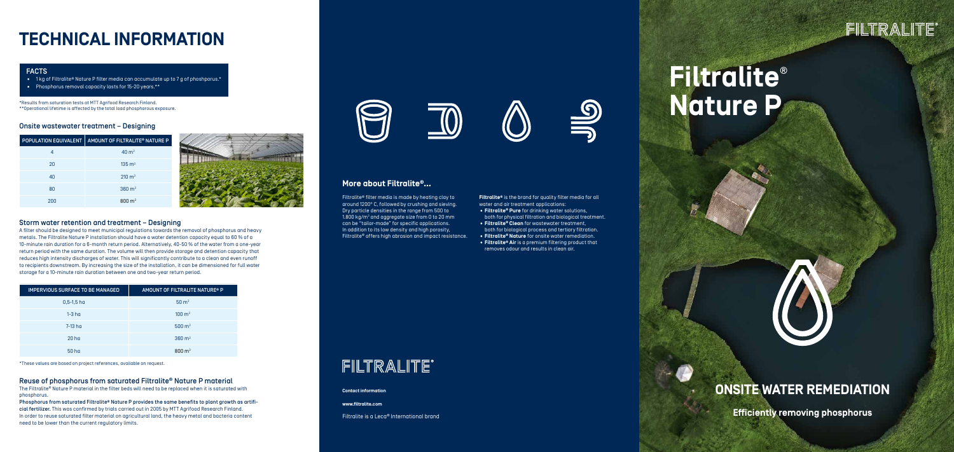# **Filtralite**® **Nature P**



**Efficiently removing phosphorus**

## **ONSITE WATER REMEDIATION**

# **TECHNICAL INFORMATION**

### Reuse of phosphorus from saturated Filtralite® Nature P material

The Filtralite® Nature P material in the filter beds will need to be replaced when it is saturated with phosphorus.

Phosphorus from saturated Filtralite® Nature P provides the same benefits to plant growth as artificial fertilizer. This was confirmed by trials carried out in 2005 by MTT Agrifood Research Finland. In order to reuse saturated filter material on agricultural land, the heavy metal and bacteria content need to be lower than the current regulatory limits.



### Onsite wastewater treatment – Designing

| <b>POPULATION EQUIVALENT</b> | AMOUNT OF FILTRALITE® NATURE P |
|------------------------------|--------------------------------|
| 4                            | $40 \text{ m}^3$               |
| 20                           | $135 \text{ m}^3$              |
| 40                           | $210 \text{ m}^3$              |
| 80                           | $360 \text{ m}^3$              |
| 200                          | $800 \text{ m}^3$              |



**Contact information**

**www.filtralite.com**

Filtralite is a Leca® International brand

# FILTRALITE®





**Filtralite®** is the brand for quality filter media for all water and air treatment applications: • **Filtralite® Pure** for drinking water solutions, both for physical filtration and biological treatment. • **Filtralite® Clean** for wastewater treatment, both for biological process and tertiary filtration. • **Filtralite® Nature** for onsite water remediation. • **Filtralite® Air** is a premium filtering product that removes odour and results in clean air.

## **More about Filtralite®…**

Filtralite® filter media is made by heating clay to around 1200° C, followed by crushing and sieving. Dry particle densities in the range from 500 to 1.800 kg/m $^{\rm 3}$  and aggregate size from 0 to 20 mm can be "tailor-made" for specific applications. In addition to its low density and high porosity, Filtralite® offers high abrasion and impact resistance.

# FILTRALITE®

### Storm water retention and treatment – Designing

A filter should be designed to meet municipal regulations towards the removal of phosphorus and heavy metals. The Filtralite Nature P installation should have a water detention capacity equal to 60 % of a 10-minute rain duration for a 6-month return period. Alternatively, 40-50 % of the water from a one-year return period with the same duration. The volume will then provide storage and detention capacity that reduces high intensity discharges of water. This will significantly contribute to a clean and even runoff to recipients downstream. By increasing the size of the installation, it can be dimensioned for full water storage for a 10-minute rain duration between one and two-year return period.

\*These values are based on project references, available on request.

| <b>IMPERVIOUS SURFACE TO BE MANAGED</b> | AMOUNT OF FILTRALITE NATURE® P |  |  |
|-----------------------------------------|--------------------------------|--|--|
| $0,5-1,5$ ha                            | $50 \text{ m}^3$               |  |  |
| $1-3$ ha                                | $100 \text{ m}^3$              |  |  |
| 7-13 ha                                 | $500 \text{ m}^3$              |  |  |
| 20 <sub>ha</sub>                        | $360 \text{ m}^3$              |  |  |
| 50 <sub>ha</sub>                        | $800 \; \text{m}^3$            |  |  |

#### FACTS

- 1 kg of Filtralite® Nature P filter media can accumulate up to 7 g of phoshporus.\*
- Phosphorus removal capacity lasts for 15-20 years.\*\*

\*Results from saturation tests at MTT Agrifood Research Finland. \*\*Operational lifetime is affected by the total load phosphorous exposure.